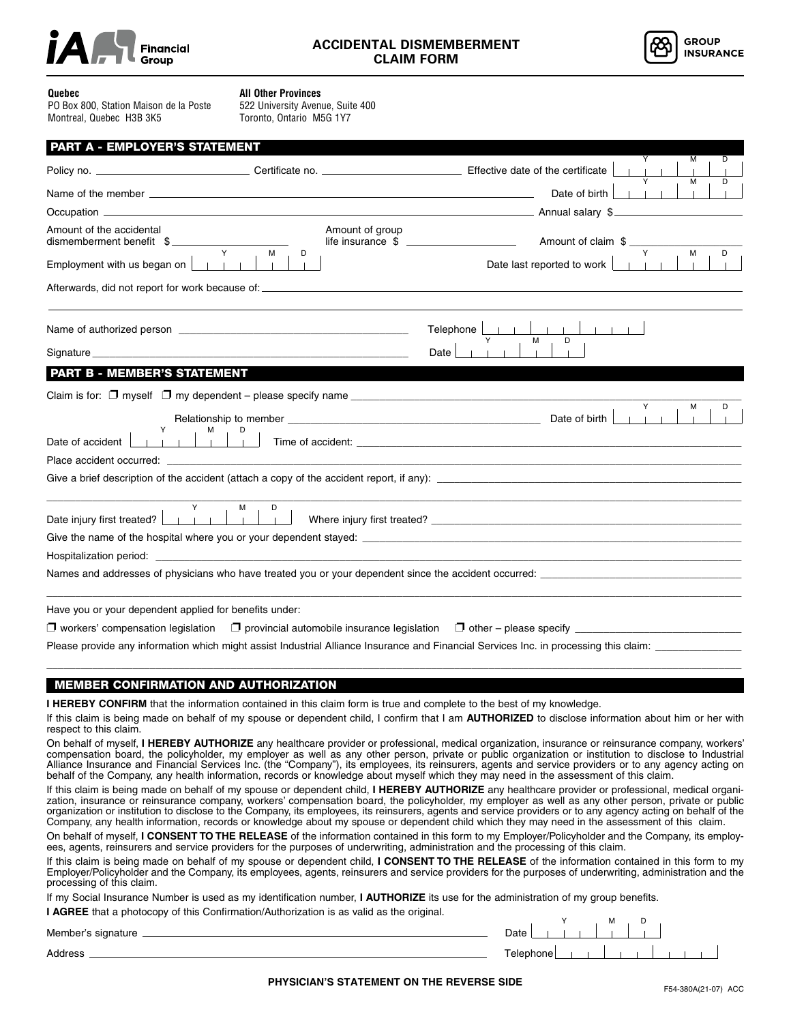



## **Quebec**

**All Other Provinces**

PO Box 800, Station Maison de la Poste Montreal, Quebec H3B 3K5

522 University Avenue, Suite 400 Toronto, Ontario M5G 1Y7

|                          | <b>PART A - EMPLOYER'S STATEMENT</b>                                                                                                                                                               |                                                                                                                                                                                                                                |
|--------------------------|----------------------------------------------------------------------------------------------------------------------------------------------------------------------------------------------------|--------------------------------------------------------------------------------------------------------------------------------------------------------------------------------------------------------------------------------|
|                          |                                                                                                                                                                                                    | D<br>м                                                                                                                                                                                                                         |
|                          |                                                                                                                                                                                                    | м<br>D<br>Date of birth                                                                                                                                                                                                        |
|                          |                                                                                                                                                                                                    |                                                                                                                                                                                                                                |
| Amount of the accidental | Amount of group<br>dismemberment benefit \$                                                                                                                                                        | Y                                                                                                                                                                                                                              |
|                          | Y.<br>D<br>м<br>Employment with us began on $\boxed{\phantom{a}}$                                                                                                                                  | М<br>D<br>Date last reported to work                                                                                                                                                                                           |
|                          |                                                                                                                                                                                                    |                                                                                                                                                                                                                                |
|                          |                                                                                                                                                                                                    | Telephone<br>$-1 - 1 - 1$                                                                                                                                                                                                      |
|                          | Signature <b>Signature Signature Signature Signature Signature Signature Signature Signature Signature Signature Signature Signature Signature Signature Signature Signature Signature Signatu</b> | M<br>Date                                                                                                                                                                                                                      |
|                          | <b>PART B - MEMBER'S STATEMENT</b><br><u> Tanzania de la contrada de la contrada de la contrada de la contrada de la contrada de la contrada de la con</u>                                         |                                                                                                                                                                                                                                |
|                          |                                                                                                                                                                                                    |                                                                                                                                                                                                                                |
| Date of accident         |                                                                                                                                                                                                    | Y<br>м                                                                                                                                                                                                                         |
|                          |                                                                                                                                                                                                    | Place accident occurred: expression of the state of the state of the state of the state of the state of the state of the state of the state of the state of the state of the state of the state of the state of the state of t |
|                          |                                                                                                                                                                                                    | Give a brief description of the accident (attach a copy of the accident report, if any):                                                                                                                                       |
|                          | Y<br>м                                                                                                                                                                                             |                                                                                                                                                                                                                                |
|                          |                                                                                                                                                                                                    |                                                                                                                                                                                                                                |
|                          |                                                                                                                                                                                                    | Hospitalization period: experience that the state of the state of the state of the state of the state of the state of the state of the state of the state of the state of the state of the state of the state of the state of  |
|                          |                                                                                                                                                                                                    | Names and addresses of physicians who have treated you or your dependent since the accident occurred:                                                                                                                          |
|                          | Have you or your dependent applied for benefits under:                                                                                                                                             |                                                                                                                                                                                                                                |
|                          |                                                                                                                                                                                                    | $\Box$ workers' compensation legislation $\Box$ provincial automobile insurance legislation $\Box$ other – please specify $\Box$                                                                                               |
|                          | Please provide any information which might assist Industrial Alliance Insurance and Financial Services Inc. in processing this claim: _                                                            |                                                                                                                                                                                                                                |

## MEMBER CONFIRMATION AND AUTHORIZATION

**I HEREBY CONFIRM** that the information contained in this claim form is true and complete to the best of my knowledge.

If this claim is being made on behalf of my spouse or dependent child, I confirm that I am **AUTHORIZED** to disclose information about him or her with respect to this claim.

\_\_\_\_\_\_\_\_\_\_\_\_\_\_\_\_\_\_\_\_\_\_\_\_\_\_\_\_\_\_\_\_\_\_\_\_\_\_\_\_\_\_\_\_\_\_\_\_\_\_\_\_\_\_\_\_\_\_\_\_\_\_\_\_\_\_\_\_\_\_\_\_\_\_\_\_\_\_\_\_\_\_\_\_\_\_\_\_\_\_\_\_\_\_\_\_\_\_\_\_\_\_\_\_\_\_\_\_\_\_\_\_\_\_\_\_\_\_\_\_\_

On behalf of myself, **I HEREBY AUTHORIZE** any healthcare provider or professional, medical organization, insurance or reinsurance company, workers' compensation board, the policyholder, my employer as well as any other person, private or public organization or institution to disclose to Industrial Alliance Insurance and Financial Services Inc. (the "Company"), its employees, its reinsurers, agents and service providers or to any agency acting on behalf of the Company, any health information, records or knowledge about myself which they may need in the assessment of this claim.

If this claim is being made on behalf of my spouse or dependent child, **I HEREBY AUTHORIZE** any healthcare provider or professional, medical organization, insurance or reinsurance company, workers' compensation board, the policyholder, my employer as well as any other person, private or public organization or institution to disclose to the Company, its employees, its reinsurers, agents and service providers or to any agency acting on behalf of the Company, any health information, records or knowledge about my spouse or dependent child which they may need in the assessment of this claim.

On behalf of myself, **I CONSENT TO THE RELEASE** of the information contained in this form to my Employer/Policyholder and the Company, its employees, agents, reinsurers and service providers for the purposes of underwriting, administration and the processing of this claim.

If this claim is being made on behalf of my spouse or dependent child, **I CONSENT TO THE RELEASE** of the information contained in this form to my Employer/Policyholder and the Company, its employees, agents, reinsurers and service providers for the purposes of underwriting, administration and the processing of this claim.

If my Social Insurance Number is used as my identification number, **I AUTHORIZE** its use for the administration of my group benefits.

**I AGREE** that a photocopy of this Confirmation/Authorization is as valid as the original.

| Member's signature |  |
|--------------------|--|
|                    |  |

Address Telephone Y M D